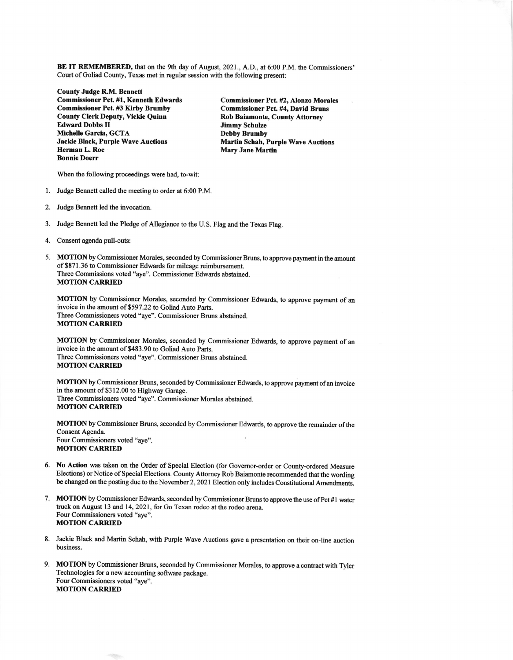BE IT REMEMBERED, that on the 9th day of August,202l., A.D., at 6:00 P.M. the Commissioners' Court of Goliad County, Texas met in regular session with the following present:

County Judge R.M. Bennett Commissioner Pct #1, Kenneth Edwards Commissioner Pct. #2, Alonzo Morales Commissioner Pct. #3 Kirby Brumby<br>
County Clerk Deputy, Vickie Quinn<br>
Rob Baiamonte, County Attorney County Clerk Deputy, Vickie Quinn Rob Baiamonte<br>
Edward Dobbs II Glass County Attorney Schulze Edward Dobbs II Jimmy Schulze<br>
Michelle Garcia, GCTA Debby Brumby Michelle Garcia, GCTA<br>
Jackie Black, Purple Wave Auctions<br>
Martin Schah, Purple Wave Auctions<br>
Martin Schah, Purple Wave Auctions Jackie Black, Purple Wave Auctions<br>Herman L. Roe Bonnie Doerr

**Mary Jane Martin** 

When the following proceedings were had, to-wit:

- 1. Judge Bennett called the meeting to order at 6:00 P.M.
- 2. Judge Bennett led the invocation.
- 3. Judge Bennett led the Pledge of Allegiance to the U.S. Flag and the Texas Flag.
- 4. Consent agenda pull-outs:
- 5. MOTION by Commissioner Morales, seconded by Commissioner Bruns, to approve payment in the amount of \$871.36 to Commissioner Edwards for mileage reimbursement. Three Commissions voted "aye". Commissioner Edwards abstained. **MOTION CARRIED**

MOTION by Commissioner Morales, seconded by Commissioner Edwards, to approve payment of an invoice in the amount of \$597.22 to Goliad Auto Parts. Three Commissioners voted "aye". Commissioner Bruns abstained. **MOTION CARRIED** 

MOTION by Commissioner Morales, seconded by Commissioner Edwards, to approve payment of an invoice in the amount of \$483.90 to Goliad Auto Parts. Three Commissioners voted "aye". Commissioner Bruns abstained. **MOTION CARRIED** 

MOTION by Commissioner Bruns, seconded by Commissioner Edwards, to approve payment of an invoice in the amount of \$312.00 to Highway Garage. Three Commissioners voted "aye". Commissioner Morales abstained. **MOTION CARRIED** 

MOTION by Commissioner Bruns, seconded by Commissioner Edwards, to approve the remainder of the Consent Agenda. Four Commissioners voted "aye". **MOTION CARRIED** 

- 6. No Action was taken on the Order of Special Election (for Governor-order or County-ordered Measure Elections) or Notice of Special Elections. County Attomey Rob Baiamonte recommended that the wording be changed on the posting due to the November 2, 2021 Election only includes Constitutional Amendments.
- 7. MOTION by Commissioner Edwards, seconded by Commissioner Bruns to approve the use of Pct #1 water fuck on August 13 and 14,2O21, for Go Texan rodeo at the rodeo arena. Four Commissioners voted "aye". MOTION CARRIED
- 8. Jackie Black and Martin Schah, with Purple Wave Auctions gave a presentation on their on-line auction business.
- 9. MOTION by Commissioner Bruns, seconded by Commissioner Morales, to approve a contract with Tyler Technologies for a new accounting software package. Four Commissioners voted "aye". **MOTION CARRIED**